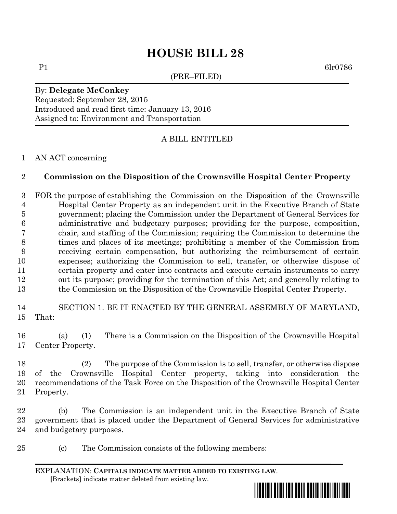# **HOUSE BILL 28**

(PRE–FILED)

P1 6lr0786

By: **Delegate McConkey** Requested: September 28, 2015 Introduced and read first time: January 13, 2016 Assigned to: Environment and Transportation

## A BILL ENTITLED

### AN ACT concerning

### **Commission on the Disposition of the Crownsville Hospital Center Property**

 FOR the purpose of establishing the Commission on the Disposition of the Crownsville Hospital Center Property as an independent unit in the Executive Branch of State government; placing the Commission under the Department of General Services for administrative and budgetary purposes; providing for the purpose, composition, chair, and staffing of the Commission; requiring the Commission to determine the times and places of its meetings; prohibiting a member of the Commission from receiving certain compensation, but authorizing the reimbursement of certain expenses; authorizing the Commission to sell, transfer, or otherwise dispose of certain property and enter into contracts and execute certain instruments to carry out its purpose; providing for the termination of this Act; and generally relating to the Commission on the Disposition of the Crownsville Hospital Center Property.

 SECTION 1. BE IT ENACTED BY THE GENERAL ASSEMBLY OF MARYLAND, That:

 (a) (1) There is a Commission on the Disposition of the Crownsville Hospital Center Property.

 (2) The purpose of the Commission is to sell, transfer, or otherwise dispose of the Crownsville Hospital Center property, taking into consideration the recommendations of the Task Force on the Disposition of the Crownsville Hospital Center Property.

 (b) The Commission is an independent unit in the Executive Branch of State government that is placed under the Department of General Services for administrative and budgetary purposes.

(c) The Commission consists of the following members:

EXPLANATION: **CAPITALS INDICATE MATTER ADDED TO EXISTING LAW**.  **[**Brackets**]** indicate matter deleted from existing law.